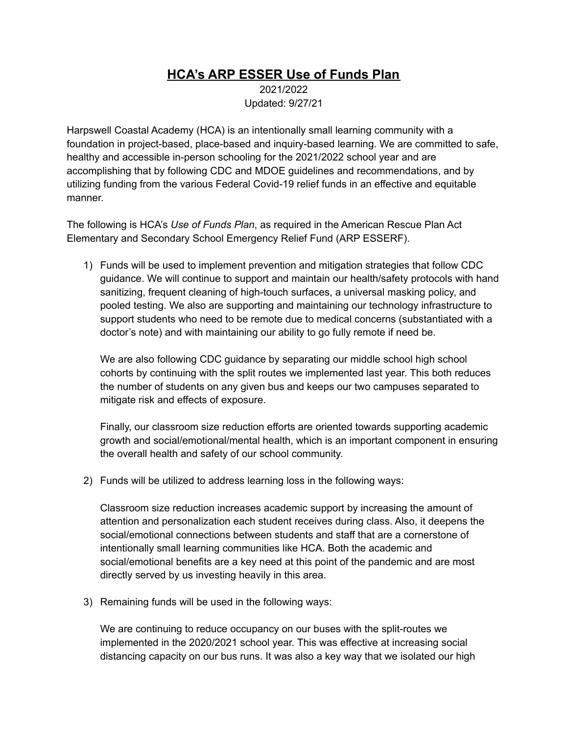## **HCA's ARP ESSER Use of Funds Plan**

2021/2022 Updated: 9/27/21

Harpswell Coastal Academy (HCA) is an intentionally small learning community with a foundation in project-based, place-based and inquiry-based learning. We are committed to safe, healthy and accessible in-person schooling for the 2021/2022 school year and are accomplishing that by following CDC and MDOE guidelines and recommendations, and by utilizing funding from the various Federal Covid-19 relief funds in an effective and equitable manner.

The following is HCA's *Use of Funds Plan*, as required in the American Rescue Plan Act Elementary and Secondary School Emergency Relief Fund (ARP ESSERF).

1) Funds will be used to implement prevention and mitigation strategies that follow CDC guidance. We will continue to support and maintain our health/safety protocols with hand sanitizing, frequent cleaning of high-touch surfaces, a universal masking policy, and pooled testing. We also are supporting and maintaining our technology infrastructure to support students who need to be remote due to medical concerns (substantiated with a doctor's note) and with maintaining our ability to go fully remote if need be.

We are also following CDC guidance by separating our middle school high school cohorts by continuing with the split routes we implemented last year. This both reduces the number of students on any given bus and keeps our two campuses separated to mitigate risk and effects of exposure.

Finally, our classroom size reduction efforts are oriented towards supporting academic growth and social/emotional/mental health, which is an important component in ensuring the overall health and safety of our school community.

2) Funds will be utilized to address learning loss in the following ways:

Classroom size reduction increases academic support by increasing the amount of attention and personalization each student receives during class. Also, it deepens the social/emotional connections between students and staff that are a cornerstone of intentionally small learning communities like HCA. Both the academic and social/emotional benefits are a key need at this point of the pandemic and are most directly served by us investing heavily in this area.

3) Remaining funds will be used in the following ways:

We are continuing to reduce occupancy on our buses with the split-routes we implemented in the 2020/2021 school year. This was effective at increasing social distancing capacity on our bus runs. It was also a key way that we isolated our high